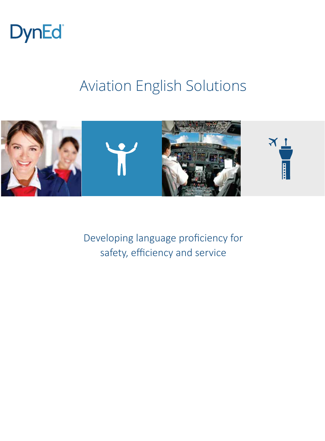

# Aviation English Solutions



Developing language proficiency for safety, efficiency and service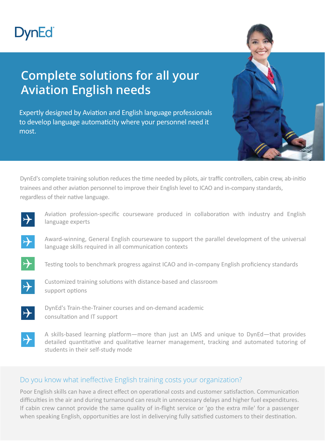# **DynEd**

## **Complete solutions for all your Aviation English needs**

Expertly designed by Aviation and English language professionals to develop language automaticity where your personnel need it most.

DynEd's complete training solution reduces the time needed by pilots, air traffic controllers, cabin crew, ab-initio trainees and other aviation personnel to improve their English level to ICAO and in-company standards, regardless of their native language.



Aviation profession-specific courseware produced in collaboration with industry and English language experts



Award-winning, General English courseware to support the parallel development of the universal language skills required in all communication contexts



Testing tools to benchmark progress against ICAO and in-company English proficiency standards



Customized training solutions with distance-based and classroom support options



DynEd's Train-the-Trainer courses and on-demand academic consultation and IT support



A skills-based learning platform—more than just an LMS and unique to DynEd—that provides detailed quantitative and qualitative learner management, tracking and automated tutoring of students in their self-study mode

#### Do you know what ineffective English training costs your organization?

Poor English skills can have a direct effect on operational costs and customer satisfaction. Communication difficulties in the air and during turnaround can result in unnecessary delays and higher fuel expenditures. If cabin crew cannot provide the same quality of in-flight service or 'go the extra mile' for a passenger when speaking English, opportunities are lost in deliverying fully satisfied customers to their destination.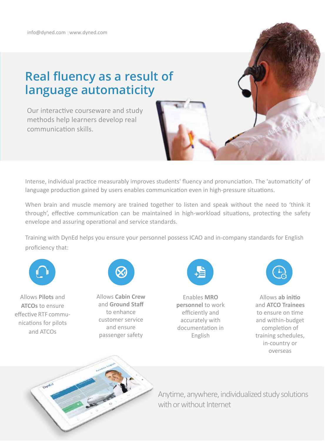### **Real fluency as a result of language automaticity**

Our interactive courseware and study methods help learners develop real communication skills.



Intense, individual practice measurably improves students' fluency and pronunciation. The 'automaticity' of language production gained by users enables communication even in high-pressure situations.

When brain and muscle memory are trained together to listen and speak without the need to 'think it through', effective communication can be maintained in high-workload situations, protecting the safety envelope and assuring operational and service standards.

Training with DynEd helps you ensure your personnel possess ICAO and in-company standards for English proficiency that:



Allows **Pilots** and **ATCOs** to ensure effective RTF communications for pilots and ATCOs



Allows **Cabin Crew** and **Ground Staff**  to enhance customer service and ensure passenger safety



Enables **MRO personnel** to work efficiently and accurately with documentation in English



Allows **ab initio** and **ATCO Trainees** to ensure on time and within-budget completion of training schedules, in-country or overseas



Anytime, anywhere, individualized study solutions with or without Internet